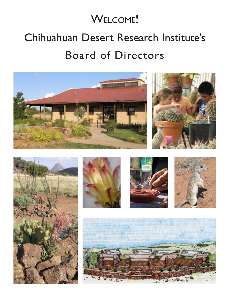# WELCOME!

# Chihuahuan Desert Research Institute's Board of Directors











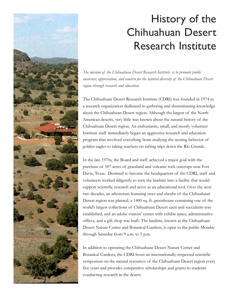

# History of the Chihuahuan Desert Research Institute

*The mission of the Chihuahuan Desert Research Institute is to promote public awarenss, appreciation, and concern for the natural diversity of the Chihuahuan Desert region through research and education.*

The Chihuahuan Desert Research Institute (CDRI) was founded in 1974 as a research organization dedicated to gathering and disseminating knowledge about the Chihuahuan Desert region. Although the largest of the North American deserts, very little was known about the natural history of the Chihuahuan Desert region. An enthusiastic, small, and mostly volunteer Institute staff immediately began an aggressive research and education program that involved everything from studying the nesting behavior of golden eagles to taking teachers on rafting trips down the Rio Grande.

In the late 1970s, the Board and staff achieved a major goal with the purchase of 507 acres of grassland and volcanic rock outcrops near Fort Davis, Texas. Destined to become the headquarters of the CDRI, staff and volunteers worked diligently to turn the landsite into a facility that would support scientific research and serve as an educational tool. Over the next two decades, an arboretum featuring trees and shrubs of the Chihuahuan Desert region was planted, a 1400 sq. ft. greenhouse containing one of the world's largest collections of Chihuahuan Desert cacti and succulents was established, and an adobe visitors' center with exhibit space, administrative offices, and a gift shop was built. The landsite, known as the Chihuahuan Desert Nature Center and Botanical Gardens, is open to the public Monday through Saturday from 9 a.m. to 5 p.m.

In addition to operating the Chihuahuan Desert Nature Center and Botanical Gardens, the CDRI hosts an internationally-respected scientific symposium on the natural resources of the Chihuahuan Desert region every five years and provides competitive scholarships and grants to students conducting research in the desert.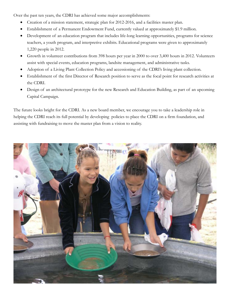Over the past ten years, the CDRI has achieved some major accomplishments:

- Creation of a mission statement, strategic plan for 2012-2016, and a facilities master plan.
- Establishment of a Permanent Endowment Fund, currently valued at approximately \$1.9 million.
- Development of an education program that includes life-long learning opportunities, programs for science teachers, a youth program, and interpretive exhibits. Educational programs were given to approximately 1,220 people in 2012.
- Growth in volunteer contributions from 398 hours per year in 2000 to over 3,400 hours in 2012. Volunteers assist with special events, education programs, landsite management, and administrative tasks.
- Adoption of a Living Plant Collection Policy and accessioning of the CDRI's living plant collection.
- Establishment of the first Director of Research position to serve as the focal point for research activities at the CDRI.
- Design of an architectural prototype for the new Research and Education Building, as part of an upcoming Capital Campaign.

The future looks bright for the CDRI. As a new board member, we encourage you to take a leadership role in helping the CDRI reach its full potential by developing policies to place the CDRI on a firm foundation, and assisting with fundraising to move the master plan from a vision to reality.

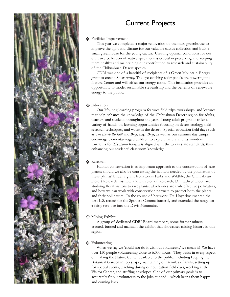

# Current Projects

## Facilities Improvement

 This year we completed a major renovation of the main greenhouse to improve the light and climate for our valuable cactus collection and built a small greenhouse for the young cactus. Creating optimal conditions for our exclusive collection of native specimens is crucial in preserving and keeping them healthy and maintaining our contribution to research and sustainability of the Chihuahuan Desert species.

 CDRI was one of a handful of recipients of a Green Mountain Energy grant to erect a Solar Array. The eye-catching solar panels are powering the Nature Center and will offset our energy costs. This installation provides an opportunity to model sustainable stewardship and the benefits of renewable energy to the public.

## Education

 Our life-long learning program features field trips, workshops, and lectures that help enhance the knowledge of the Chihuahuan Desert region for adults, teachers and students throughout the year. Young adult programs offer a variety of hands-on-learning opportunities focusing on desert ecology, field research techniques, and water in the desert. Special education field days such as *The Earth Rocks!!!* and *Bugs, Bugs, Bugs*, as well as our summer day camps, encourage elementary-aged children to explore nature and its wonders. Curricula for *The Earth Rocks!!!* is aligned with the Texas state standards, thus enhancing our students' classroom knowledge.

## $\clubsuit$  Research

 Habitat conservation is an important approach to the conservation of rare plants; should we also be conserving the habitats needed by the pollinators of these plants? Under a grant from Texas Parks and Wildlife, the Chihuahuan Desert Research Institute and Director of Research, Dr. Cathryn Hoyt, are studying floral visitors to rare plants, which ones are truly effective pollinators, and how we can work with conservation partners to protect both the plants and their pollinators. In the course of her work, Dr. Hoyt documented the first U.S. record for the Spotless Comma butterfly and extended the range for a fairly rare bee into the Davis Mountains.

# Mining Exhibit

 A group of dedicated CDRI Board members, some former miners, erected, funded and maintain the exhibit that showcases mining history in this region.

# Volunteering

When we say we 'could not do it without volunteers,' we mean it! We have over 150 people volunteering close to 6,000 hours. They assist in every aspect of making the Nature Center available to the public, including keeping the Botanical Garden in top shape, maintaining our 4 miles of trails, setting up for special events, teaching during our education field days, working at the Visitor Center, and stuffing envelopes. One of our primary goals is to accurately fit our volunteers to the jobs at hand – which keeps them happy and coming back.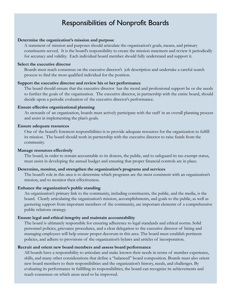# Responsibilities of Nonprofit Boards

#### **Determine the organization's mission and purpose**

A statement of mission and purposes should articulate the organization's goals, means, and primary constituents served. It is the board's responsibility to create the mission statement and review it periodically for accuracy and validity. Each individual board member should fully understand and support it.

#### **Select the executive director**

Boards must reach consensus on the executive director's job description and undertake a careful search process to find the most qualified individual for the position.

#### **Support the executive director and review his or her performance**

The board should ensure that the executive director has the moral and professional support he or she needs to further the goals of the organization. The executive director, in partnership with the entire board, should decide upon a periodic evaluation of the executive director's performance.

#### **Ensure effective organizational planning**

As stewards of an organization, boards must actively participate with the staff in an overall planning process and assist in implementing the plan's goals.

#### **Ensure adequate resources**

One of the board's foremost responsibilities is to provide adequate resources for the organization to fulfill its mission. The board should work in partnership with the executive director to raise funds from the community.

#### **Manage resources effectively**

The board, in order to remain accountable to its donors, the public, and to safeguard its tax-exempt status, must assist in developing the annual budget and ensuring that proper financial controls are in place.

#### **Determine, monitor, and strengthen the organization's programs and services**

The board's role in this area is to determine which programs are the most consistent with an organization's mission, and to monitor their effectiveness.

#### **Enhance the organization's public standing**

An organization's primary link to the community, including constituents, the public, and the media, is the board. Clearly articulating the organization's mission, accomplishments, and goals to the public, as well as garnering support from important members of the community, are important elements of a comprehensive public relations strategy.

#### **Ensure legal and ethical integrity and maintain accountability**

The board is ultimately responsible for ensuring adherence to legal standards and ethical norms. Solid personnel policies, grievance procedures, and a clear delegation to the executive director of hiring and managing employees will help ensure proper decorum in this area. The board must establish pertinent policies, and adhere to provisions of the organization's bylaws and articles of incorporation.

#### **Recruit and orient new board members and assess board performance**

All boards have a responsibility to articulate and make known their needs in terms of member experience, skills, and many other considerations that define a "balanced" board composition. Boards must also orient new board members to their responsibilities and the organization's history, needs, and challenges. By evaluating its performance in fulfilling its responsibilities, the board can recognize its achievements and reach consensus on which areas need to be improved.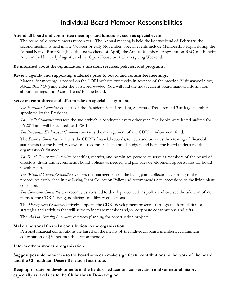# Individual Board Member Responsibilities

#### **Attend all board and committee meetings and functions, such as special events.**

The board of directors meets twice a year. The Annual meeting is held the last weekend of February; the second meeting is held in late October or early November. Special events include Membership Night during the Annual Native Plant Sale (held the last weekend of April); the Annual Members' Appreciation BBQ and Benefit Auction (held in early August); and the Open House over Thanksgiving Weekend.

### **Be informed about the organization's mission, services, policies, and programs.**

#### **Review agenda and supporting materials prior to board and committee meetings.**

Material for meetings is posted on the CDRI website two weeks in advance of the meeting. Visit www.cdri.org: *About: Board Only* and enter the password *members*. You will find the most current board manual, information about meetings, and 'Action Items' for the board.

#### **Serve on committees and offer to take on special assignments.**

*The Executive Committee* consists of the President, Vice-President, Secretary, Treasurer and 3 at-large members appointed by the President.

*The Audit Committee* oversees the audit which is conducted every other year. The books were lasted audited for FY2011 and will be audited for FY2013.

*The Permanent Endowment Committee* oversees the management of the CDRI's endowment fund.

The *Finance Committee* monitors the CDRI's financial records, reviews and oversees the creating of financial statements for the board, reviews and recommends an annual budget, and helps the board understand the organization's finances.

*The Board Governance Committee* identifies, recruits, and nominates persons to serve as members of the board of directors; drafts and recommends board policies as needed; and provides development opportunites for board membership.

*The Botanical Garden Committee* oversees the management of the living plant collection according to the procedures established in the Living Plant Collection Policy and recommends new accessions to the living plant collection.

*The Collections Committee* was recently established to develop a collections policy and oversee the addition of new items to the CDRI's living, nonliving, and library collections.

The *Development Committee* actively supports the CDRI development program through the formulation of strategies and activities that will serve to increase member and/or corporate contributions and gifts.

The *Ad Hoc Building Committee* oversees planning for construction projects.

### **Make a personal financial contribution to the organization.**

Personal financial contributions are based on the means of the individual board members. A minimum contribution of \$50 per month is recommended.

### **Inform others about the organization.**

**Suggest possible nominees to the board who can make significant contributions to the work of the board and the Chihuahuan Desert Research Instititute.**

**Keep up-to-date on developments in the fields of education, conservation and/or natural history- especially as it relates to the Chihuahuan Desert region.**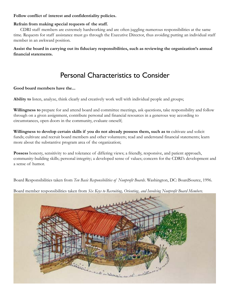#### **Follow conflict of interest and confidentiality policies.**

## **Refrain from making special requests of the staff.**

CDRI staff members are extremely hardworking and are often juggling numerous responsibilities at the same time. Requests for staff assistance must go through the Executive Director, thus avoiding putting an individual staff member in an awkward position.

**Assist the board in carrying out its fiduciary responsibilities, such as reviewing the organization's annual financial statements.**

# Personal Characteristics to Consider

#### **Good board members have the...**

**Ability to** listen, analyze, think clearly and creatively work well with individual people and groups;

**Willingness to** prepare for and attend board and committee meetings, ask questions, take responsibility and follow through on a given assignment, contribute personal and financial resources in a generous way according to circumstances, open doors in the community, evaluate oneself;

**Willingness to develop certain skills if you do not already possess them, such as to** cultivate and solicit funds; cultivate and recruit board members and other volunteers; read and understand financial statements; learn more about the substantive program area of the organization;

**Possess** honesty, sensitivity to and tolerance of differing views; a friendly, responsive, and patient approach, community-building skills; personal integrity; a developed sense of values; concern for the CDRI's development and a sense of humor.

Board Responsibilities taken from *Ten Basic Responsibilities of Nonprofit Boards*. Washington, DC: BoardSource, 1996.

Board member responsibilities taken from *Six Keys to Recruiting, Orienting, and Involving Nonprofit Board Members*.